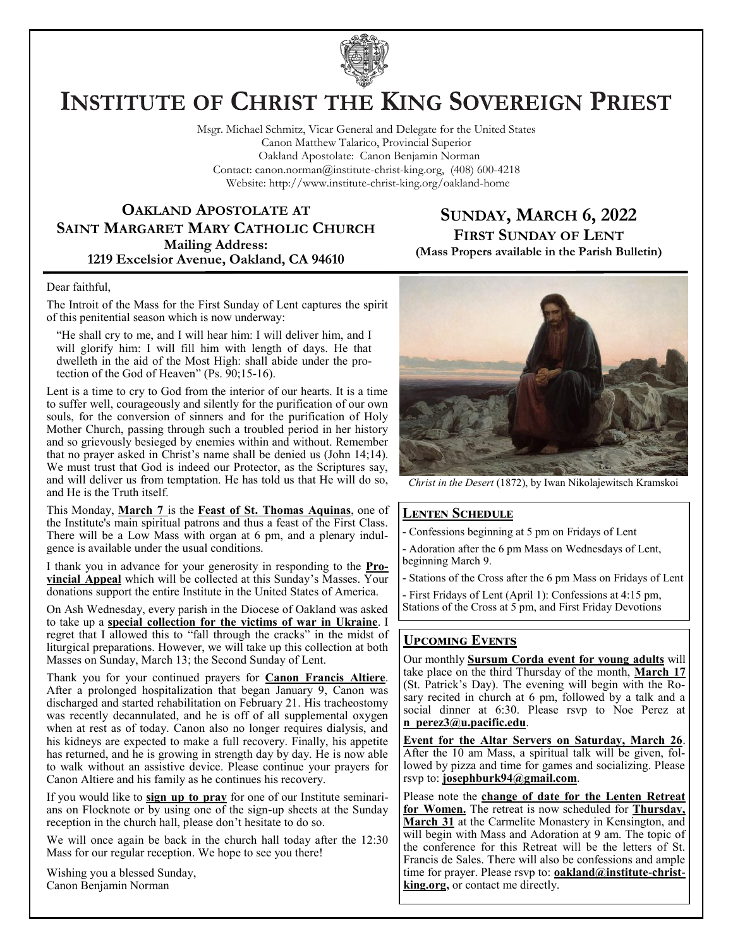

# **INSTITUTE OF CHRIST THE KING SOVEREIGN PRIEST**

Msgr. Michael Schmitz, Vicar General and Delegate for the United States Canon Matthew Talarico, Provincial Superior Oakland Apostolate: Canon Benjamin Norman Contact: canon.norman@institute-christ-king.org, (408) 600-4218 Website: http://www.institute-christ-king.org/oakland-home

# **OAKLAND APOSTOLATE AT SAINT MARGARET MARY CATHOLIC CHURCH Mailing Address: 1219 Excelsior Avenue, Oakland, CA 94610**

# **SUNDAY, MARCH 6, 2022 FIRST SUNDAY OF LENT (Mass Propers available in the Parish Bulletin)**

#### Dear faithful,

The Introit of the Mass for the First Sunday of Lent captures the spirit of this penitential season which is now underway:

"He shall cry to me, and I will hear him: I will deliver him, and I will glorify him: I will fill him with length of days. He that dwelleth in the aid of the Most High: shall abide under the protection of the God of Heaven" (Ps. 90;15-16).

Lent is a time to cry to God from the interior of our hearts. It is a time to suffer well, courageously and silently for the purification of our own souls, for the conversion of sinners and for the purification of Holy Mother Church, passing through such a troubled period in her history and so grievously besieged by enemies within and without. Remember that no prayer asked in Christ's name shall be denied us (John 14;14). We must trust that God is indeed our Protector, as the Scriptures say, and will deliver us from temptation. He has told us that He will do so, and He is the Truth itself.

This Monday, **March 7** is the **Feast of St. Thomas Aquinas**, one of the Institute's main spiritual patrons and thus a feast of the First Class. There will be a Low Mass with organ at 6 pm, and a plenary indulgence is available under the usual conditions.

I thank you in advance for your generosity in responding to the **Provincial Appeal** which will be collected at this Sunday's Masses. Your donations support the entire Institute in the United States of America.

On Ash Wednesday, every parish in the Diocese of Oakland was asked to take up a **special collection for the victims of war in Ukraine**. I regret that I allowed this to "fall through the cracks" in the midst of liturgical preparations. However, we will take up this collection at both Masses on Sunday, March 13; the Second Sunday of Lent.

Thank you for your continued prayers for **Canon Francis Altiere**. After a prolonged hospitalization that began January 9, Canon was discharged and started rehabilitation on February 21. His tracheostomy was recently decannulated, and he is off of all supplemental oxygen when at rest as of today. Canon also no longer requires dialysis, and his kidneys are expected to make a full recovery. Finally, his appetite has returned, and he is growing in strength day by day. He is now able to walk without an assistive device. Please continue your prayers for Canon Altiere and his family as he continues his recovery.

If you would like to **sign up to pray** for one of our Institute seminarians on Flocknote or  $\overline{by}$  using one of the sign-up sheets at the Sunday reception in the church hall, please don't hesitate to do so.

We will once again be back in the church hall today after the 12:30 Mass for our regular reception. We hope to see you there!

Wishing you a blessed Sunday, Canon Benjamin Norman



*Christ in the Desert* (1872), by Iwan Nikolajewitsch Kramskoi

### **Lenten Schedule**

Confessions beginning at 5 pm on Fridays of Lent

- Adoration after the 6 pm Mass on Wednesdays of Lent, beginning March 9.

- Stations of the Cross after the 6 pm Mass on Fridays of Lent

- First Fridays of Lent (April 1): Confessions at 4:15 pm, Stations of the Cross at 5 pm, and First Friday Devotions

# **Upcoming Events**

Our monthly **Sursum Corda event for young adults** will take place on the third Thursday of the month, **March 17** (St. Patrick's Day). The evening will begin with the Rosary recited in church at 6 pm, followed by a talk and a social dinner at 6:30. Please rsvp to Noe Perez at **[n\\_perez3@u.pacific.edu](mailto:n_perez3@u.pacific.edu)**.

**Event for the Altar Servers on Saturday, March 26**. After the 10 am Mass, a spiritual talk will be given, followed by pizza and time for games and socializing. Please rsvp to: **[josephburk94@gmail.com](mailto:josephburk94@gmail.com)**.

Please note the **change of date for the Lenten Retreat for Women.** The retreat is now scheduled for **Thursday, March 31** at the Carmelite Monastery in Kensington, and will begin with Mass and Adoration at 9 am. The topic of the conference for this Retreat will be the letters of St. Francis de Sales. There will also be confessions and ample time for prayer. Please rsvp to: **[oakland@institute-christ](mailto:oakland@institute-christ-king.org)[king.org,](mailto:oakland@institute-christ-king.org)** or contact me directly.